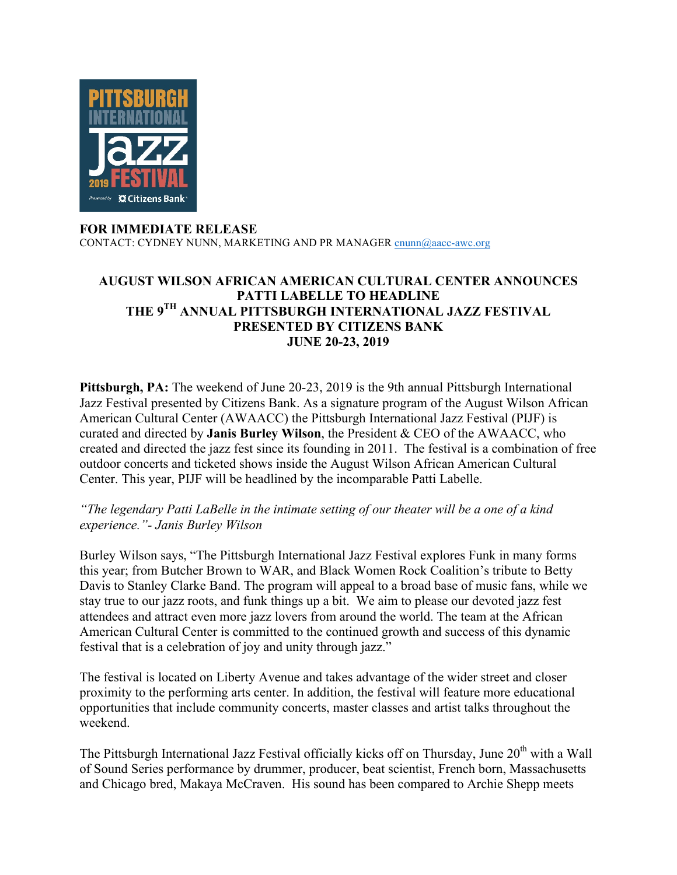

## **FOR IMMEDIATE RELEASE**

CONTACT: CYDNEY NUNN, MARKETING AND PR MANAGER cnunn@aacc-awc.org

## **AUGUST WILSON AFRICAN AMERICAN CULTURAL CENTER ANNOUNCES PATTI LABELLE TO HEADLINE THE 9TH ANNUAL PITTSBURGH INTERNATIONAL JAZZ FESTIVAL PRESENTED BY CITIZENS BANK JUNE 20-23, 2019**

**Pittsburgh, PA:** The weekend of June 20-23, 2019 is the 9th annual Pittsburgh International Jazz Festival presented by Citizens Bank. As a signature program of the August Wilson African American Cultural Center (AWAACC) the Pittsburgh International Jazz Festival (PIJF) is curated and directed by **Janis Burley Wilson**, the President & CEO of the AWAACC, who created and directed the jazz fest since its founding in 2011. The festival is a combination of free outdoor concerts and ticketed shows inside the August Wilson African American Cultural Center. This year, PIJF will be headlined by the incomparable Patti Labelle.

## *"The legendary Patti LaBelle in the intimate setting of our theater will be a one of a kind experience."- Janis Burley Wilson*

Burley Wilson says, "The Pittsburgh International Jazz Festival explores Funk in many forms this year; from Butcher Brown to WAR, and Black Women Rock Coalition's tribute to Betty Davis to Stanley Clarke Band. The program will appeal to a broad base of music fans, while we stay true to our jazz roots, and funk things up a bit. We aim to please our devoted jazz fest attendees and attract even more jazz lovers from around the world. The team at the African American Cultural Center is committed to the continued growth and success of this dynamic festival that is a celebration of joy and unity through jazz."

The festival is located on Liberty Avenue and takes advantage of the wider street and closer proximity to the performing arts center. In addition, the festival will feature more educational opportunities that include community concerts, master classes and artist talks throughout the weekend.

The Pittsburgh International Jazz Festival officially kicks off on Thursday, June 20<sup>th</sup> with a Wall of Sound Series performance by drummer, producer, beat scientist, French born, Massachusetts and Chicago bred, Makaya McCraven. His sound has been compared to Archie Shepp meets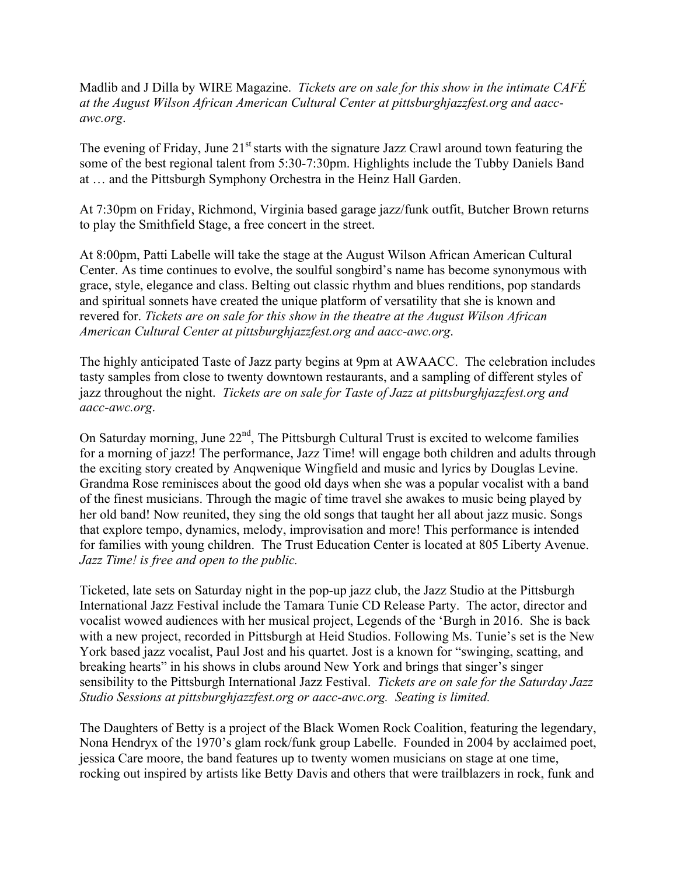Madlib and J Dilla by WIRE Magazine. *Tickets are on sale for this show in the intimate CAFÉ at the August Wilson African American Cultural Center at pittsburghjazzfest.org and aaccawc.org*.

The evening of Friday, June  $21<sup>st</sup>$  starts with the signature Jazz Crawl around town featuring the some of the best regional talent from 5:30-7:30pm. Highlights include the Tubby Daniels Band at … and the Pittsburgh Symphony Orchestra in the Heinz Hall Garden.

At 7:30pm on Friday, Richmond, Virginia based garage jazz/funk outfit, Butcher Brown returns to play the Smithfield Stage, a free concert in the street.

At 8:00pm, Patti Labelle will take the stage at the August Wilson African American Cultural Center. As time continues to evolve, the soulful songbird's name has become synonymous with grace, style, elegance and class. Belting out classic rhythm and blues renditions, pop standards and spiritual sonnets have created the unique platform of versatility that she is known and revered for. *Tickets are on sale for this show in the theatre at the August Wilson African American Cultural Center at pittsburghjazzfest.org and aacc-awc.org*.

The highly anticipated Taste of Jazz party begins at 9pm at AWAACC. The celebration includes tasty samples from close to twenty downtown restaurants, and a sampling of different styles of jazz throughout the night. *Tickets are on sale for Taste of Jazz at pittsburghjazzfest.org and aacc-awc.org*.

On Saturday morning, June  $22<sup>nd</sup>$ , The Pittsburgh Cultural Trust is excited to welcome families for a morning of jazz! The performance, Jazz Time! will engage both children and adults through the exciting story created by Anqwenique Wingfield and music and lyrics by Douglas Levine. Grandma Rose reminisces about the good old days when she was a popular vocalist with a band of the finest musicians. Through the magic of time travel she awakes to music being played by her old band! Now reunited, they sing the old songs that taught her all about jazz music. Songs that explore tempo, dynamics, melody, improvisation and more! This performance is intended for families with young children. The Trust Education Center is located at 805 Liberty Avenue. *Jazz Time! is free and open to the public.*

Ticketed, late sets on Saturday night in the pop-up jazz club, the Jazz Studio at the Pittsburgh International Jazz Festival include the Tamara Tunie CD Release Party. The actor, director and vocalist wowed audiences with her musical project, Legends of the 'Burgh in 2016. She is back with a new project, recorded in Pittsburgh at Heid Studios. Following Ms. Tunie's set is the New York based jazz vocalist, Paul Jost and his quartet. Jost is a known for "swinging, scatting, and breaking hearts" in his shows in clubs around New York and brings that singer's singer sensibility to the Pittsburgh International Jazz Festival. *Tickets are on sale for the Saturday Jazz Studio Sessions at pittsburghjazzfest.org or aacc-awc.org. Seating is limited.*

The Daughters of Betty is a project of the Black Women Rock Coalition, featuring the legendary, Nona Hendryx of the 1970's glam rock/funk group Labelle. Founded in 2004 by acclaimed poet, jessica Care moore, the band features up to twenty women musicians on stage at one time, rocking out inspired by artists like Betty Davis and others that were trailblazers in rock, funk and